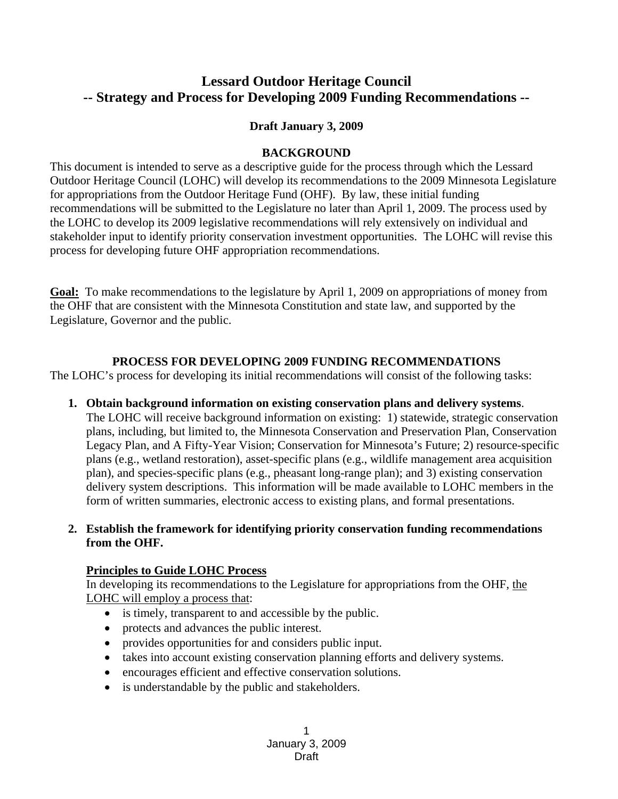# **Lessard Outdoor Heritage Council -- Strategy and Process for Developing 2009 Funding Recommendations --**

#### **Draft January 3, 2009**

#### **BACKGROUND**

This document is intended to serve as a descriptive guide for the process through which the Lessard Outdoor Heritage Council (LOHC) will develop its recommendations to the 2009 Minnesota Legislature for appropriations from the Outdoor Heritage Fund (OHF). By law, these initial funding recommendations will be submitted to the Legislature no later than April 1, 2009. The process used by the LOHC to develop its 2009 legislative recommendations will rely extensively on individual and stakeholder input to identify priority conservation investment opportunities. The LOHC will revise this process for developing future OHF appropriation recommendations.

**Goal:** To make recommendations to the legislature by April 1, 2009 on appropriations of money from the OHF that are consistent with the Minnesota Constitution and state law, and supported by the Legislature, Governor and the public.

#### **PROCESS FOR DEVELOPING 2009 FUNDING RECOMMENDATIONS**

The LOHC's process for developing its initial recommendations will consist of the following tasks:

**1. Obtain background information on existing conservation plans and delivery systems**. The LOHC will receive background information on existing: 1) statewide, strategic conservation plans, including, but limited to, the Minnesota Conservation and Preservation Plan, Conservation Legacy Plan, and A Fifty-Year Vision; Conservation for Minnesota's Future; 2) resource-specific

plans (e.g., wetland restoration), asset-specific plans (e.g., wildlife management area acquisition plan), and species-specific plans (e.g., pheasant long-range plan); and 3) existing conservation delivery system descriptions. This information will be made available to LOHC members in the form of written summaries, electronic access to existing plans, and formal presentations.

**2. Establish the framework for identifying priority conservation funding recommendations from the OHF.** 

### **Principles to Guide LOHC Process**

In developing its recommendations to the Legislature for appropriations from the OHF, the LOHC will employ a process that:

- is timely, transparent to and accessible by the public.
- protects and advances the public interest.
- provides opportunities for and considers public input.
- takes into account existing conservation planning efforts and delivery systems.
- encourages efficient and effective conservation solutions.
- is understandable by the public and stakeholders.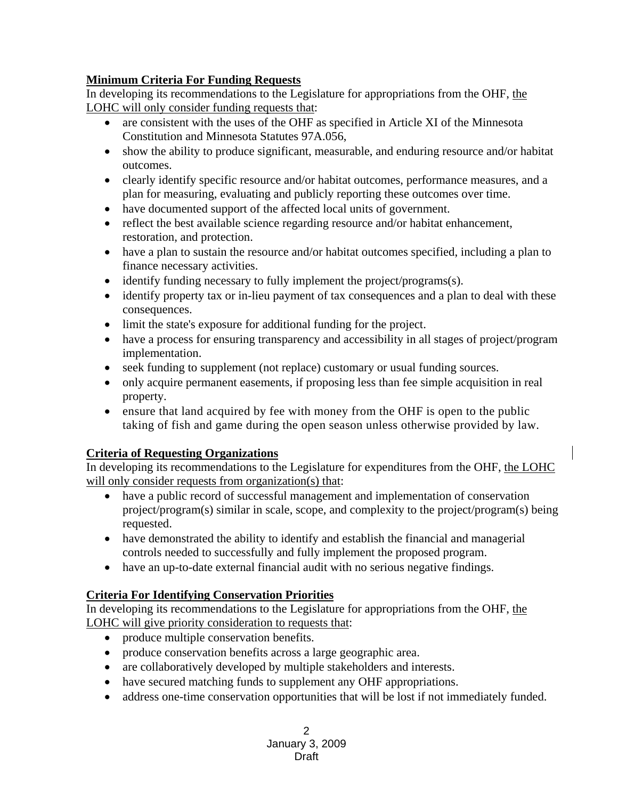## **Minimum Criteria For Funding Requests**

In developing its recommendations to the Legislature for appropriations from the OHF, the LOHC will only consider funding requests that:

- are consistent with the uses of the OHF as specified in Article XI of the Minnesota Constitution and Minnesota Statutes 97A.056,
- show the ability to produce significant, measurable, and enduring resource and/or habitat outcomes.
- clearly identify specific resource and/or habitat outcomes, performance measures, and a plan for measuring, evaluating and publicly reporting these outcomes over time.
- have documented support of the affected local units of government.
- reflect the best available science regarding resource and/or habitat enhancement, restoration, and protection.
- have a plan to sustain the resource and/or habitat outcomes specified, including a plan to finance necessary activities.
- identify funding necessary to fully implement the project/programs(s).
- identify property tax or in-lieu payment of tax consequences and a plan to deal with these consequences.
- limit the state's exposure for additional funding for the project.
- have a process for ensuring transparency and accessibility in all stages of project/program implementation.
- seek funding to supplement (not replace) customary or usual funding sources.
- only acquire permanent easements, if proposing less than fee simple acquisition in real property.
- ensure that land acquired by fee with money from the OHF is open to the public taking of fish and game during the open season unless otherwise provided by law.

# **Criteria of Requesting Organizations**

In developing its recommendations to the Legislature for expenditures from the OHF, the LOHC will only consider requests from organization(s) that:

- have a public record of successful management and implementation of conservation project/program(s) similar in scale, scope, and complexity to the project/program(s) being requested.
- have demonstrated the ability to identify and establish the financial and managerial controls needed to successfully and fully implement the proposed program.
- have an up-to-date external financial audit with no serious negative findings.

# **Criteria For Identifying Conservation Priorities**

In developing its recommendations to the Legislature for appropriations from the OHF, the LOHC will give priority consideration to requests that:

- produce multiple conservation benefits.
- produce conservation benefits across a large geographic area.
- are collaboratively developed by multiple stakeholders and interests.
- have secured matching funds to supplement any OHF appropriations.
- address one-time conservation opportunities that will be lost if not immediately funded.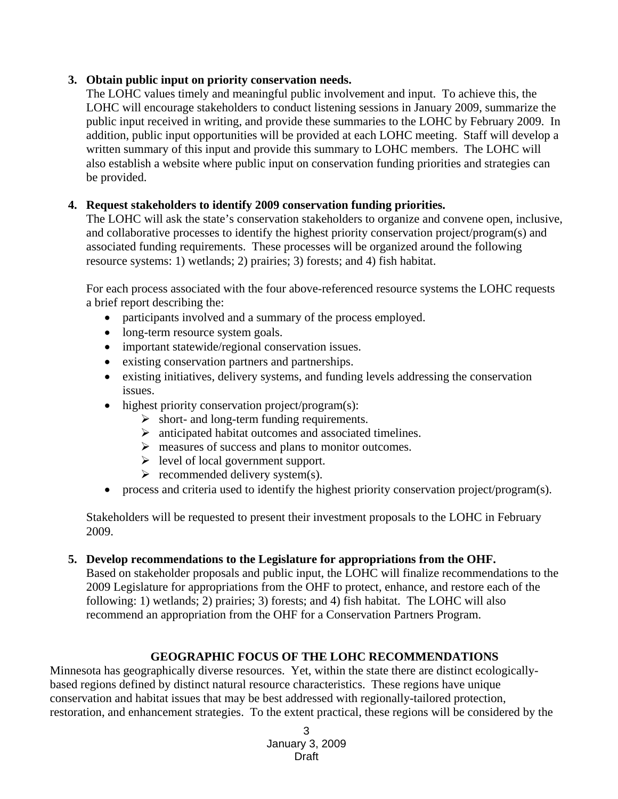### **3. Obtain public input on priority conservation needs.**

The LOHC values timely and meaningful public involvement and input. To achieve this, the LOHC will encourage stakeholders to conduct listening sessions in January 2009, summarize the public input received in writing, and provide these summaries to the LOHC by February 2009. In addition, public input opportunities will be provided at each LOHC meeting. Staff will develop a written summary of this input and provide this summary to LOHC members. The LOHC will also establish a website where public input on conservation funding priorities and strategies can be provided.

### **4. Request stakeholders to identify 2009 conservation funding priorities.**

The LOHC will ask the state's conservation stakeholders to organize and convene open, inclusive, and collaborative processes to identify the highest priority conservation project/program(s) and associated funding requirements. These processes will be organized around the following resource systems: 1) wetlands; 2) prairies; 3) forests; and 4) fish habitat.

For each process associated with the four above-referenced resource systems the LOHC requests a brief report describing the:

- participants involved and a summary of the process employed.
- long-term resource system goals.
- important statewide/regional conservation issues.
- existing conservation partners and partnerships.
- existing initiatives, delivery systems, and funding levels addressing the conservation issues.
- highest priority conservation project/program(s):
	- $\triangleright$  short- and long-term funding requirements.
	- $\triangleright$  anticipated habitat outcomes and associated timelines.
	- $\triangleright$  measures of success and plans to monitor outcomes.
	- $\triangleright$  level of local government support.
	- $\triangleright$  recommended delivery system(s).
- process and criteria used to identify the highest priority conservation project/program(s).

Stakeholders will be requested to present their investment proposals to the LOHC in February 2009.

### **5. Develop recommendations to the Legislature for appropriations from the OHF.**

Based on stakeholder proposals and public input, the LOHC will finalize recommendations to the 2009 Legislature for appropriations from the OHF to protect, enhance, and restore each of the following: 1) wetlands; 2) prairies; 3) forests; and 4) fish habitat. The LOHC will also recommend an appropriation from the OHF for a Conservation Partners Program.

### **GEOGRAPHIC FOCUS OF THE LOHC RECOMMENDATIONS**

Minnesota has geographically diverse resources. Yet, within the state there are distinct ecologicallybased regions defined by distinct natural resource characteristics. These regions have unique conservation and habitat issues that may be best addressed with regionally-tailored protection, restoration, and enhancement strategies. To the extent practical, these regions will be considered by the

> 3 January 3, 2009 Draft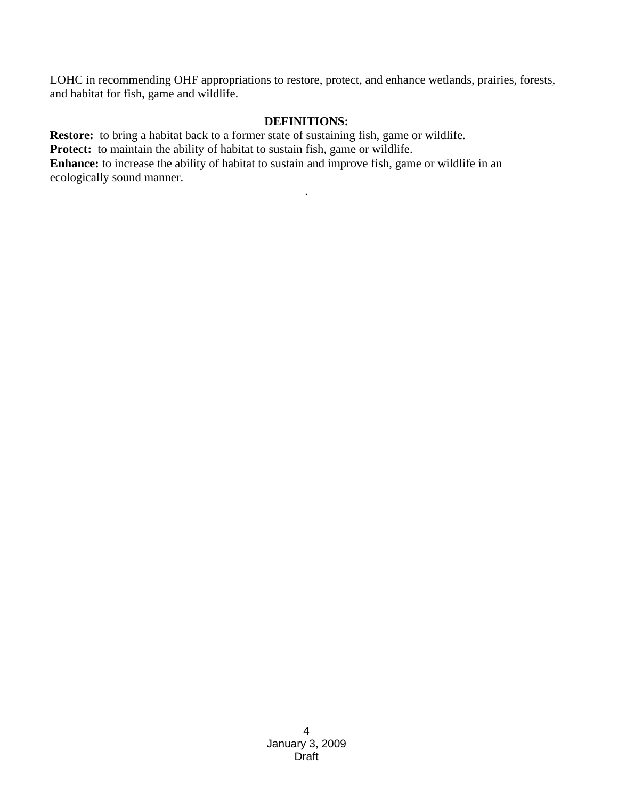LOHC in recommending OHF appropriations to restore, protect, and enhance wetlands, prairies, forests, and habitat for fish, game and wildlife.

#### **DEFINITIONS:**

.

**Restore:** to bring a habitat back to a former state of sustaining fish, game or wildlife. Protect: to maintain the ability of habitat to sustain fish, game or wildlife. Enhance: to increase the ability of habitat to sustain and improve fish, game or wildlife in an ecologically sound manner.